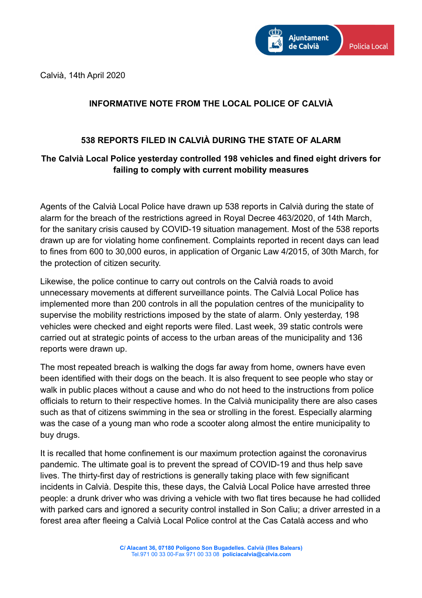Calvià, 14th April 2020



## **INFORMATIVE NOTE FROM THE LOCAL POLICE OF CALVIÀ**

## **538 REPORTS FILED IN CALVIÀ DURING THE STATE OF ALARM**

## **The Calvià Local Police yesterday controlled 198 vehicles and fined eight drivers for failing to comply with current mobility measures**

Agents of the Calvià Local Police have drawn up 538 reports in Calvià during the state of alarm for the breach of the restrictions agreed in Royal Decree 463/2020, of 14th March, for the sanitary crisis caused by COVID-19 situation management. Most of the 538 reports drawn up are for violating home confinement. Complaints reported in recent days can lead to fines from 600 to 30,000 euros, in application of Organic Law 4/2015, of 30th March, for the protection of citizen security.

Likewise, the police continue to carry out controls on the Calvià roads to avoid unnecessary movements at different surveillance points. The Calvià Local Police has implemented more than 200 controls in all the population centres of the municipality to supervise the mobility restrictions imposed by the state of alarm. Only yesterday, 198 vehicles were checked and eight reports were filed. Last week, 39 static controls were carried out at strategic points of access to the urban areas of the municipality and 136 reports were drawn up.

The most repeated breach is walking the dogs far away from home, owners have even been identified with their dogs on the beach. It is also frequent to see people who stay or walk in public places without a cause and who do not heed to the instructions from police officials to return to their respective homes. In the Calvià municipality there are also cases such as that of citizens swimming in the sea or strolling in the forest. Especially alarming was the case of a young man who rode a scooter along almost the entire municipality to buy drugs.

It is recalled that home confinement is our maximum protection against the coronavirus pandemic. The ultimate goal is to prevent the spread of COVID-19 and thus help save lives. The thirty-first day of restrictions is generally taking place with few significant incidents in Calvià. Despite this, these days, the Calvià Local Police have arrested three people: a drunk driver who was driving a vehicle with two flat tires because he had collided with parked cars and ignored a security control installed in Son Caliu; a driver arrested in a forest area after fleeing a Calvià Local Police control at the Cas Català access and who